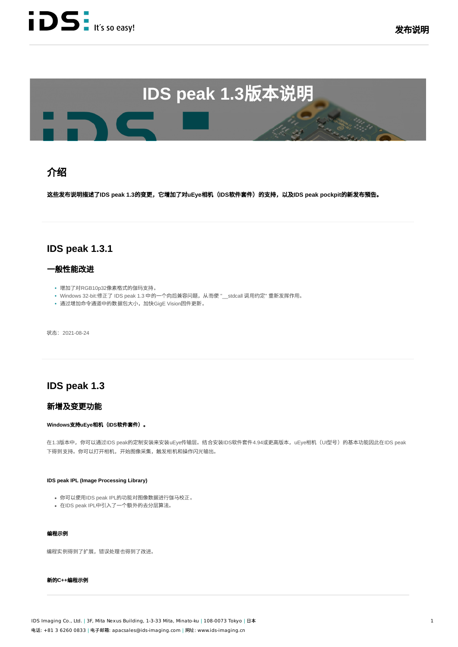

# **IDS** peak 1.3版本说明

## 绍

这些发布说描**IDS peak 1.3**的变更,**uEye**相(**IDS**软件件)的持,**IDS peak pockpit**的发布預告。

## **IDS peak 1.3.1**

#### 一般性能改进

- 增加了对RGB10p32像素格式的伽玛支持。
- Windows 32-bit:修正了 IDS peak 1.3 中的一个向后兼容问题,从而使 "\_\_stdcall 调用约定" 重新发挥作用。
- 通过增加命令通道中的数据包大小, 加快GigE Vision固件更新。

状态: 2021-08-24

## **IDS peak 1.3**

#### 新增及变更功能

#### **Windows支持uEye相机(IDS软件套件)。**

在1.3版本中,你可以通过IDS peak的定制安装来安装uEye传输层。结合安装IDS软件套件4.94或更高版本,uEye相机(UI型号)的基本功能因此在IDS peak 下得到支持。你可以打开相机,开始图像采集,触发相机和操作闪光输出。

#### **IDS peak IPL (Image Processing Library)**

- 你可以使用IDS peak IPL的功能对图像数据进行伽马校正。
- 在IDS peak IPL中引入了一个额外的去分层算法。

#### 编程示例

编程实例得到了扩展,错误处理也得到了改进。

#### 新的C++编程示例